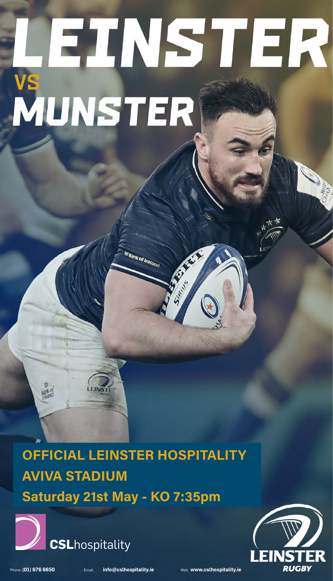# EINSTER VS<br>MUNSTER

## OFFICIAL LEINSTER HOSPITALITY AVIVA STADIUM Saturday 21st May - KO 7:35pm

a<br><sup>Bank of Ireland</sup>

E

RA S





Phone: **(01) 676 6650** Email. **info@cslhospitality.ie** Web. **www.cslhospitality.ie**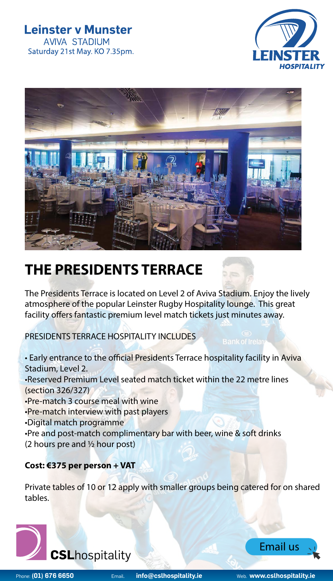#### **Leinster v Munster AVIVA STADIUM** Saturday 21st May. KO 7.35pm.





## **THE PRESIDENTS TERRACE**

The Presidents Terrace is located on Level 2 of Aviva Stadium. Enjoy the lively atmosphere of the popular Leinster Rugby Hospitality lounge. This great facility offers fantastic premium level match tickets just minutes away.

PRESIDENTS TERRACE HOSPITALITY INCLUDES

- Early entrance to the official Presidents Terrace hospitality facility in Aviva Stadium, Level 2.
- •Reserved Premium Level seated match ticket within the 22 metre lines (section 326/327)
- •Pre-match 3 course meal with wine
- •Pre-match interview with past players
- •Digital match programme
- •Pre and post-match complimentary bar with beer, wine & soft drinks (2 hours pre and ½ hour post)

#### **Cost: €375 per person + VAT**

Private tables of 10 or 12 apply with smaller groups being catered for on shared tables.





[Email us](mailto:info%40cslhospitality.ie?subject=Leinster%20v%20Munster)